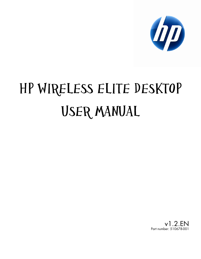

# HP WIRELESS ELITE DESKTOP USER MANUAL

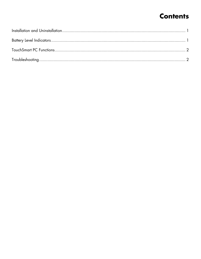## **Contents**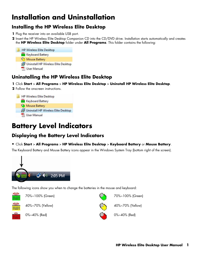# <span id="page-2-0"></span>**Installation and Uninstallation**

## **Installing the HP Wireless Elite Desktop**

- **1** Plug the receiver into an available USB port.
- **2** Insert the HP Wireless Elite Desktop Companion CD into the CD/DVD drive. Installation starts automatically and creates the **HP Wireless Elite Desktop** folder under **All Programs**. This folder contains the following:



#### **Uninstalling the HP Wireless Elite Desktop**

**1** Click **Start** > **All Programs** > **HP Wireless Elite Desktop** > **Uninstall HP Wireless Elite Desktop**.

**2** Follow the onscreen instructions.



## **Battery Level Indicators**

## **Displaying the Battery Level Indicators**

#### • Click **Start** > **All Programs** > **HP Wireless Elite Desktop** > **Keyboard Battery** or **Mouse Battery**.

The Keyboard Battery and Mouse Battery icons appear in the Windows System Tray (bottom right of the screen).



The following icons show you when to change the batteries in the mouse and keyboard:



70%~100% (Green) 70%~100% (Green)

40%~70% (Yellow) 40%~70% (Yellow)

0%~40% (Red) 0%~40% (Red)